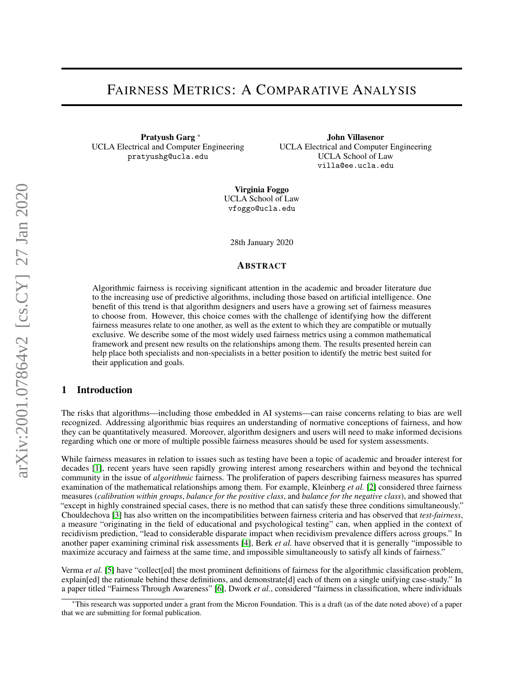# FAIRNESS METRICS: A COMPARATIVE ANALYSIS

Pratyush Garg <sup>∗</sup> UCLA Electrical and Computer Engineering pratyushg@ucla.edu

John Villasenor UCLA Electrical and Computer Engineering UCLA School of Law villa@ee.ucla.edu

Virginia Foggo UCLA School of Law vfoggo@ucla.edu

28th January 2020

#### ABSTRACT

Algorithmic fairness is receiving significant attention in the academic and broader literature due to the increasing use of predictive algorithms, including those based on artificial intelligence. One benefit of this trend is that algorithm designers and users have a growing set of fairness measures to choose from. However, this choice comes with the challenge of identifying how the different fairness measures relate to one another, as well as the extent to which they are compatible or mutually exclusive. We describe some of the most widely used fairness metrics using a common mathematical framework and present new results on the relationships among them. The results presented herein can help place both specialists and non-specialists in a better position to identify the metric best suited for their application and goals.

## 1 Introduction

The risks that algorithms—including those embedded in AI systems—can raise concerns relating to bias are well recognized. Addressing algorithmic bias requires an understanding of normative conceptions of fairness, and how they can be quantitatively measured. Moreover, algorithm designers and users will need to make informed decisions regarding which one or more of multiple possible fairness measures should be used for system assessments.

While fairness measures in relation to issues such as testing have been a topic of academic and broader interest for decades [\[1\]](#page-8-0), recent years have seen rapidly growing interest among researchers within and beyond the technical community in the issue of *algorithmic* fairness. The proliferation of papers describing fairness measures has spurred examination of the mathematical relationships among them. For example, Kleinberg *et al.* [\[2\]](#page-8-1) considered three fairness measures (*calibration within groups*, *balance for the positive class*, and *balance for the negative class*), and showed that "except in highly constrained special cases, there is no method that can satisfy these three conditions simultaneously." Chouldechova [\[3\]](#page-8-2) has also written on the incompatibilities between fairness criteria and has observed that *test-fairness*, a measure "originating in the field of educational and psychological testing" can, when applied in the context of recidivism prediction, "lead to considerable disparate impact when recidivism prevalence differs across groups." In another paper examining criminal risk assessments [\[4\]](#page-9-0), Berk *et al.* have observed that it is generally "impossible to maximize accuracy and fairness at the same time, and impossible simultaneously to satisfy all kinds of fairness."

Verma *et al.* [\[5\]](#page-9-1) have "collect[ed] the most prominent definitions of fairness for the algorithmic classification problem, explain[ed] the rationale behind these definitions, and demonstrate[d] each of them on a single unifying case-study." In a paper titled "Fairness Through Awareness" [\[6\]](#page-9-2), Dwork *et al.*, considered "fairness in classification, where individuals

<sup>∗</sup>This research was supported under a grant from the Micron Foundation. This is a draft (as of the date noted above) of a paper that we are submitting for formal publication.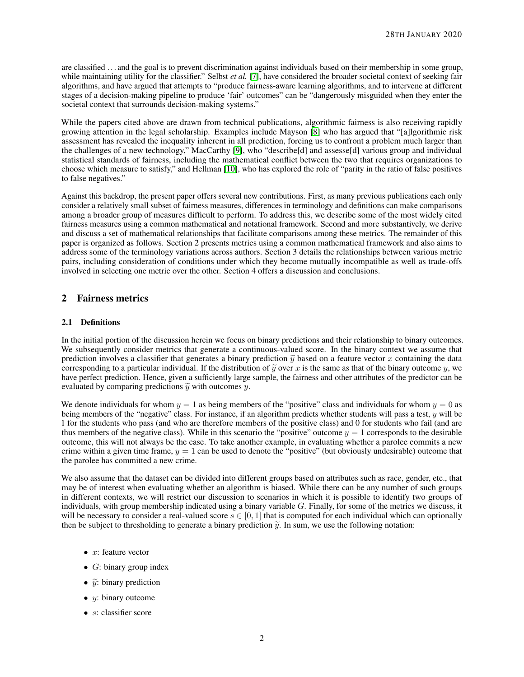are classified . . . and the goal is to prevent discrimination against individuals based on their membership in some group, while maintaining utility for the classifier." Selbst *et al.* [\[7\]](#page-9-3), have considered the broader societal context of seeking fair algorithms, and have argued that attempts to "produce fairness-aware learning algorithms, and to intervene at different stages of a decision-making pipeline to produce 'fair' outcomes" can be "dangerously misguided when they enter the societal context that surrounds decision-making systems."

While the papers cited above are drawn from technical publications, algorithmic fairness is also receiving rapidly growing attention in the legal scholarship. Examples include Mayson [\[8\]](#page-9-4) who has argued that "[a]lgorithmic risk assessment has revealed the inequality inherent in all prediction, forcing us to confront a problem much larger than the challenges of a new technology," MacCarthy [\[9\]](#page-9-5), who "describe[d] and assesse[d] various group and individual statistical standards of fairness, including the mathematical conflict between the two that requires organizations to choose which measure to satisfy," and Hellman [\[10\]](#page-9-6), who has explored the role of "parity in the ratio of false positives to false negatives."

Against this backdrop, the present paper offers several new contributions. First, as many previous publications each only consider a relatively small subset of fairness measures, differences in terminology and definitions can make comparisons among a broader group of measures difficult to perform. To address this, we describe some of the most widely cited fairness measures using a common mathematical and notational framework. Second and more substantively, we derive and discuss a set of mathematical relationships that facilitate comparisons among these metrics. The remainder of this paper is organized as follows. Section 2 presents metrics using a common mathematical framework and also aims to address some of the terminology variations across authors. Section 3 details the relationships between various metric pairs, including consideration of conditions under which they become mutually incompatible as well as trade-offs involved in selecting one metric over the other. Section 4 offers a discussion and conclusions.

# 2 Fairness metrics

## 2.1 Definitions

In the initial portion of the discussion herein we focus on binary predictions and their relationship to binary outcomes. We subsequently consider metrics that generate a continuous-valued score. In the binary context we assume that prediction involves a classifier that generates a binary prediction  $\tilde{v}$  based on a feature vector x containing the data corresponding to a particular individual. If the distribution of  $\tilde{y}$  over x is the same as that of the binary outcome y, we have perfect prediction. Hence, given a sufficiently large sample, the fairness and other attributes of the predictor can be evaluated by comparing predictions  $\tilde{y}$  with outcomes y.

We denote individuals for whom  $y = 1$  as being members of the "positive" class and individuals for whom  $y = 0$  as being members of the "negative" class. For instance, if an algorithm predicts whether students will pass a test, y will be 1 for the students who pass (and who are therefore members of the positive class) and 0 for students who fail (and are thus members of the negative class). While in this scenario the "positive" outcome  $y = 1$  corresponds to the desirable outcome, this will not always be the case. To take another example, in evaluating whether a parolee commits a new crime within a given time frame,  $y = 1$  can be used to denote the "positive" (but obviously undesirable) outcome that the parolee has committed a new crime.

We also assume that the dataset can be divided into different groups based on attributes such as race, gender, etc., that may be of interest when evaluating whether an algorithm is biased. While there can be any number of such groups in different contexts, we will restrict our discussion to scenarios in which it is possible to identify two groups of individuals, with group membership indicated using a binary variable  $G$ . Finally, for some of the metrics we discuss, it will be necessary to consider a real-valued score  $s \in [0, 1]$  that is computed for each individual which can optionally then be subject to thresholding to generate a binary prediction  $\tilde{y}$ . In sum, we use the following notation:

- $x$ : feature vector
- $G$ : binary group index
- $\tilde{y}$ : binary prediction
- $y$ : binary outcome
- $s$ : classifier score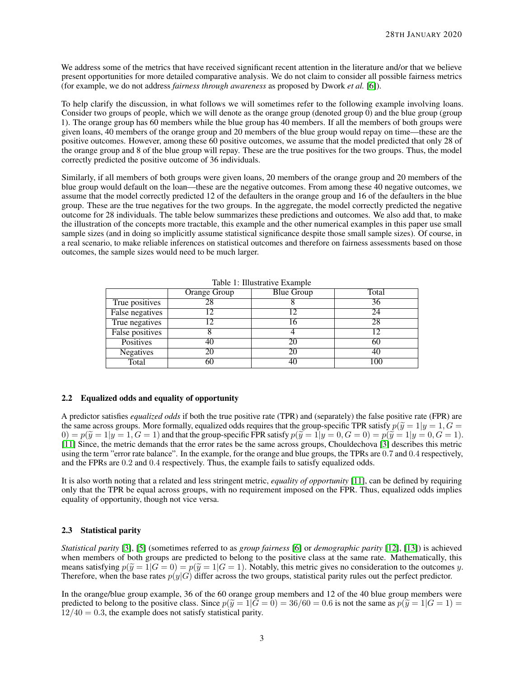We address some of the metrics that have received significant recent attention in the literature and/or that we believe present opportunities for more detailed comparative analysis. We do not claim to consider all possible fairness metrics (for example, we do not address *fairness through awareness* as proposed by Dwork *et al.* [\[6\]](#page-9-2)).

To help clarify the discussion, in what follows we will sometimes refer to the following example involving loans. Consider two groups of people, which we will denote as the orange group (denoted group 0) and the blue group (group 1). The orange group has 60 members while the blue group has 40 members. If all the members of both groups were given loans, 40 members of the orange group and 20 members of the blue group would repay on time—these are the positive outcomes. However, among these 60 positive outcomes, we assume that the model predicted that only 28 of the orange group and 8 of the blue group will repay. These are the true positives for the two groups. Thus, the model correctly predicted the positive outcome of 36 individuals.

Similarly, if all members of both groups were given loans, 20 members of the orange group and 20 members of the blue group would default on the loan—these are the negative outcomes. From among these 40 negative outcomes, we assume that the model correctly predicted 12 of the defaulters in the orange group and 16 of the defaulters in the blue group. These are the true negatives for the two groups. In the aggregate, the model correctly predicted the negative outcome for 28 individuals. The table below summarizes these predictions and outcomes. We also add that, to make the illustration of the concepts more tractable, this example and the other numerical examples in this paper use small sample sizes (and in doing so implicitly assume statistical significance despite those small sample sizes). Of course, in a real scenario, to make reliable inferences on statistical outcomes and therefore on fairness assessments based on those outcomes, the sample sizes would need to be much larger.

|                        | Orange Group | <b>Blue Group</b> | Total |
|------------------------|--------------|-------------------|-------|
| True positives         |              |                   | 36    |
| False negatives        |              |                   | 24    |
| True negatives         |              |                   | 28    |
| <b>False positives</b> |              |                   |       |
| Positives              |              |                   | ΟU    |
| <b>Negatives</b>       |              |                   | 40    |
| Total                  | 60           |                   | 100   |

Table 1: Illustrative Example

## 2.2 Equalized odds and equality of opportunity

A predictor satisfies *equalized odds* if both the true positive rate (TPR) and (separately) the false positive rate (FPR) are the same across groups. More formally, equalized odds requires that the group-specific TPR satisfy  $p(\tilde{y} = 1 | y = 1, G = 1)$  $0 = p(\widetilde{y} = 1 | y = 1, G = 1)$  and that the group-specific FPR satisfy  $p(\widetilde{y} = 1 | y = 0, G = 0) = p(\widetilde{y} = 1 | y = 0, G = 1).$ [\[11\]](#page-9-7) Since, the metric demands that the error rates be the same across groups, Chouldechova [\[3\]](#page-8-2) describes this metric using the term "error rate balance". In the example, for the orange and blue groups, the TPRs are 0.7 and 0.4 respectively, and the FPRs are 0.2 and 0.4 respectively. Thus, the example fails to satisfy equalized odds.

It is also worth noting that a related and less stringent metric, *equality of opportunity* [\[11\]](#page-9-7), can be defined by requiring only that the TPR be equal across groups, with no requirement imposed on the FPR. Thus, equalized odds implies equality of opportunity, though not vice versa.

#### <span id="page-2-0"></span>2.3 Statistical parity

*Statistical parity* [\[3\]](#page-8-2), [\[5\]](#page-9-1) (sometimes referred to as *group fairness* [\[6\]](#page-9-2) or *demographic parity* [\[12\]](#page-9-8), [\[13\]](#page-9-9)) is achieved when members of both groups are predicted to belong to the positive class at the same rate. Mathematically, this means satisfying  $p(\tilde{y}=1|G=0) = p(\tilde{y}=1|G=1)$ . Notably, this metric gives no consideration to the outcomes y. Therefore, when the base rates  $p(y|G)$  differ across the two groups, statistical parity rules out the perfect predictor.

In the orange/blue group example, 36 of the 60 orange group members and 12 of the 40 blue group members were predicted to belong to the positive class. Since  $p(\tilde{y} = 1|\tilde{G} = 0) = 36/60 = 0.6$  is not the same as  $p(\tilde{y} = 1|G = 1) =$  $12/40 = 0.3$ , the example does not satisfy statistical parity.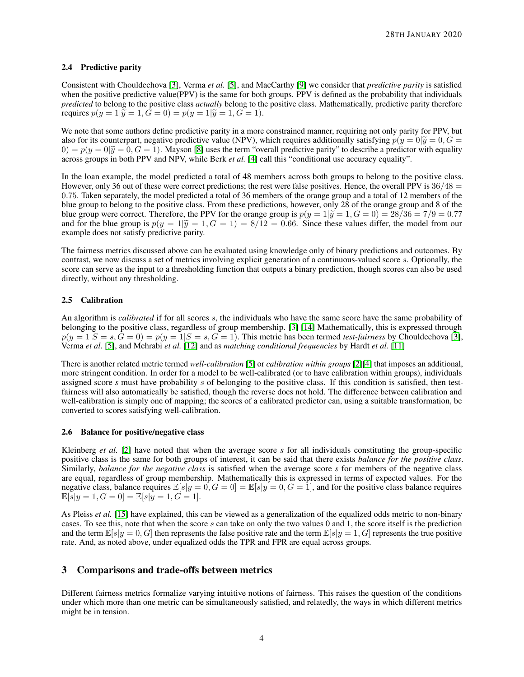## 2.4 Predictive parity

Consistent with Chouldechova [\[3\]](#page-8-2), Verma *et al.* [\[5\]](#page-9-1), and MacCarthy [\[9\]](#page-9-5) we consider that *predictive parity* is satisfied when the positive predictive value(PPV) is the same for both groups. PPV is defined as the probability that individuals *predicted* to belong to the positive class *actually* belong to the positive class. Mathematically, predictive parity therefore requires  $p(y = 1|\tilde{y} = 1, G = 0) = p(y = 1|\tilde{y} = 1, G = 1).$ 

We note that some authors define predictive parity in a more constrained manner, requiring not only parity for PPV, but also for its counterpart, negative predictive value (NPV), which requires additionally satisfying  $p(y = 0|\tilde{y} = 0, G = 0)$  $0 = p(y = 0|\tilde{y} = 0, G = 1)$ . Mayson [\[8\]](#page-9-4) uses the term "overall predictive parity" to describe a predictor with equality across groups in both PPV and NPV, while Berk *et al.* [\[4\]](#page-9-0) call this "conditional use accuracy equality".

In the loan example, the model predicted a total of 48 members across both groups to belong to the positive class. However, only 36 out of these were correct predictions; the rest were false positives. Hence, the overall PPV is  $36/48 =$ 0.75. Taken separately, the model predicted a total of 36 members of the orange group and a total of 12 members of the blue group to belong to the positive class. From these predictions, however, only 28 of the orange group and 8 of the blue group were correct. Therefore, the PPV for the orange group is  $p(y = 1|\tilde{y} = 1, G = 0) = 28/36 = 7/9 = 0.77$ and for the blue group is  $p(y = 1|\tilde{y} = 1, G = 1) = 8/12 = 0.66$ . Since these values differ, the model from our example does not satisfy predictive parity.

The fairness metrics discussed above can be evaluated using knowledge only of binary predictions and outcomes. By contrast, we now discuss a set of metrics involving explicit generation of a continuous-valued score s. Optionally, the score can serve as the input to a thresholding function that outputs a binary prediction, though scores can also be used directly, without any thresholding.

## 2.5 Calibration

An algorithm is *calibrated* if for all scores s, the individuals who have the same score have the same probability of belonging to the positive class, regardless of group membership. [\[3\]](#page-8-2) [\[14\]](#page-9-10) Mathematically, this is expressed through  $p(y = 1|S = s, G = 0) = p(y = 1|S = s, G = 1)$ . This metric has been termed *test-fairness* by Chouldechova [\[3\]](#page-8-2), Verma *et al*. [\[5\]](#page-9-1), and Mehrabi *et al.* [\[12\]](#page-9-8) and as *matching conditional frequencies* by Hardt *et al.* [\[11\]](#page-9-7)

There is another related metric termed *well-calibration* [\[5\]](#page-9-1) or *calibration within groups* [\[2\]](#page-8-1)[\[4\]](#page-9-0) that imposes an additional, more stringent condition. In order for a model to be well-calibrated (or to have calibration within groups), individuals assigned score *s* must have probability s of belonging to the positive class. If this condition is satisfied, then testfairness will also automatically be satisfied, though the reverse does not hold. The difference between calibration and well-calibration is simply one of mapping; the scores of a calibrated predictor can, using a suitable transformation, be converted to scores satisfying well-calibration.

## 2.6 Balance for positive/negative class

Kleinberg *et al.* [\[2\]](#page-8-1) have noted that when the average score *s* for all individuals constituting the group-specific positive class is the same for both groups of interest, it can be said that there exists *balance for the positive class*. Similarly, *balance for the negative class* is satisfied when the average score *s* for members of the negative class are equal, regardless of group membership. Mathematically this is expressed in terms of expected values. For the negative class, balance requires  $\mathbb{E}[s|y=0, G=0] = \mathbb{E}[s|y=0, G=1]$ , and for the positive class balance requires  $\mathbb{E}[s|y=1, G=0] = \mathbb{E}[s|y=1, G=1].$ 

As Pleiss *et al.* [\[15\]](#page-9-11) have explained, this can be viewed as a generalization of the equalized odds metric to non-binary cases. To see this, note that when the score s can take on only the two values 0 and 1, the score itself is the prediction and the term  $\mathbb{E}[s|y=0, G]$  then represents the false positive rate and the term  $\mathbb{E}[s|y=1, G]$  represents the true positive rate. And, as noted above, under equalized odds the TPR and FPR are equal across groups.

# 3 Comparisons and trade-offs between metrics

Different fairness metrics formalize varying intuitive notions of fairness. This raises the question of the conditions under which more than one metric can be simultaneously satisfied, and relatedly, the ways in which different metrics might be in tension.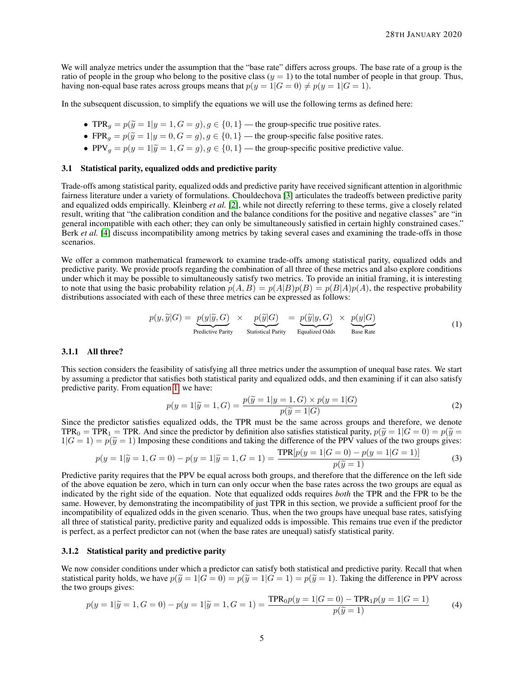We will analyze metrics under the assumption that the "base rate" differs across groups. The base rate of a group is the ratio of people in the group who belong to the positive class  $(y = 1)$  to the total number of people in that group. Thus, having non-equal base rates across groups means that  $p(y = 1|G = 0) \neq p(y = 1|G = 1)$ .

In the subsequent discussion, to simplify the equations we will use the following terms as defined here:

- TPR<sub>g</sub> =  $p(\tilde{y} = 1 | y = 1, G = g), g \in \{0, 1\}$  the group-specific true positive rates.
- FPR<sub>g</sub> =  $p(\tilde{y} = 1 | y = 0, G = g), g \in \{0, 1\}$  the group-specific false positive rates.
- PPV<sub>g</sub> =  $p(y = 1|\tilde{y} = 1, G = g)$ ,  $g \in \{0, 1\}$  the group-specific positive predictive value.

#### 3.1 Statistical parity, equalized odds and predictive parity

Trade-offs among statistical parity, equalized odds and predictive parity have received significant attention in algorithmic fairness literature under a variety of formulations. Chouldechova [\[3\]](#page-8-2) articulates the tradeoffs between predictive parity and equalized odds empirically. Kleinberg *et al.* [\[2\]](#page-8-1), while not directly referring to these terms, give a closely related result, writing that "the calibration condition and the balance conditions for the positive and negative classes" are "in general incompatible with each other; they can only be simultaneously satisfied in certain highly constrained cases." Berk *et al.* [\[4\]](#page-9-0) discuss incompatibility among metrics by taking several cases and examining the trade-offs in those scenarios.

We offer a common mathematical framework to examine trade-offs among statistical parity, equalized odds and predictive parity. We provide proofs regarding the combination of all three of these metrics and also explore conditions under which it may be possible to simultaneously satisfy two metrics. To provide an initial framing, it is interesting to note that using the basic probability relation  $p(A, B) = p(A|B)p(B) = p(B|A)p(A)$ , the respective probability distributions associated with each of these three metrics can be expressed as follows:

$$
p(y,\widetilde{y}|G) = \underbrace{p(y|\widetilde{y},G)}_{\text{Predictive Parity}} \times \underbrace{p(\widetilde{y}|G)}_{\text{Statistical Parity}} = \underbrace{p(\widetilde{y}|y,G)}_{\text{Equalized Odds}} \times \underbrace{p(y|G)}_{\text{Base Rate}} \tag{1}
$$

### 3.1.1 All three?

This section considers the feasibility of satisfying all three metrics under the assumption of unequal base rates. We start by assuming a predictor that satisfies both statistical parity and equalized odds, and then examining if it can also satisfy predictive parity. From equation [1,](#page-4-0) we have:

<span id="page-4-0"></span>
$$
p(y = 1|\widetilde{y} = 1, G) = \frac{p(\widetilde{y} = 1|y = 1, G) \times p(y = 1|G)}{p(\widetilde{y} = 1|G)}
$$
(2)

Since the predictor satisfies equalized odds, the TPR must be the same across groups and therefore, we denote TPR<sub>0</sub> = TPR<sub>1</sub> = TPR. And since the predictor by definition also satisfies statistical parity,  $p(\tilde{y} = 1|G = 0) = p(\tilde{y} = 1|G = 0)$  $1|G = 1$  =  $p(\tilde{y} = 1)$  Imposing these conditions and taking the difference of the PPV values of the two groups gives:

$$
p(y = 1|\tilde{y} = 1, G = 0) - p(y = 1|\tilde{y} = 1, G = 1) = \frac{\text{TPR}[p(y = 1|G = 0) - p(y = 1|G = 1)]}{p(\tilde{y} = 1)}
$$
(3)  
Predictive parity requires that the PPV be equal across both groups, and therefore that the difference on the left side

of the above equation be zero, which in turn can only occur when the base rates across the two groups are equal as indicated by the right side of the equation. Note that equalized odds requires *both* the TPR and the FPR to be the same. However, by demonstrating the incompatibility of just TPR in this section, we provide a sufficient proof for the incompatibility of equalized odds in the given scenario. Thus, when the two groups have unequal base rates, satisfying all three of statistical parity, predictive parity and equalized odds is impossible. This remains true even if the predictor is perfect, as a perfect predictor can not (when the base rates are unequal) satisfy statistical parity.

## 3.1.2 Statistical parity and predictive parity

We now consider conditions under which a predictor can satisfy both statistical and predictive parity. Recall that when statistical parity holds, we have  $p(\tilde{y}=1|G=0) = p(\tilde{y}=1|G=1) = p(\tilde{y}=1)$ . Taking the difference in PPV across the two groups gives:

$$
p(y=1|\tilde{y}=1, G=0) - p(y=1|\tilde{y}=1, G=1) = \frac{\text{TPR}_0 p(y=1|G=0) - \text{TPR}_1 p(y=1|G=1)}{p(\tilde{y}=1)}
$$
(4)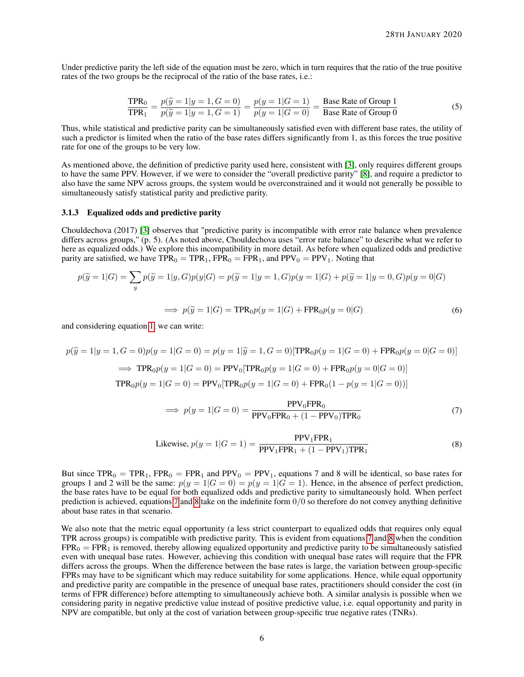Under predictive parity the left side of the equation must be zero, which in turn requires that the ratio of the true positive rates of the two groups be the reciprocal of the ratio of the base rates, i.e.:

$$
\frac{\text{TPR}_0}{\text{TPR}_1} = \frac{p(\tilde{y} = 1 | y = 1, G = 0)}{p(\tilde{y} = 1 | y = 1, G = 1)} = \frac{p(y = 1 | G = 1)}{p(y = 1 | G = 0)} = \frac{\text{Base Rate of Group 1}}{\text{Base Rate of Group 0}}
$$
(5)

Thus, while statistical and predictive parity can be simultaneously satisfied even with different base rates, the utility of such a predictor is limited when the ratio of the base rates differs significantly from 1, as this forces the true positive rate for one of the groups to be very low.

As mentioned above, the definition of predictive parity used here, consistent with [\[3\]](#page-8-2), only requires different groups to have the same PPV. However, if we were to consider the "overall predictive parity" [\[8\]](#page-9-4), and require a predictor to also have the same NPV across groups, the system would be overconstrained and it would not generally be possible to simultaneously satisfy statistical parity and predictive parity.

#### 3.1.3 Equalized odds and predictive parity

Chouldechova (2017) [\[3\]](#page-8-2) observes that "predictive parity is incompatible with error rate balance when prevalence differs across groups," (p. 5). (As noted above, Chouldechova uses "error rate balance" to describe what we refer to here as equalized odds.) We explore this incompatibility in more detail. As before when equalized odds and predictive parity are satisfied, we have  $TPR_0 = TPR_1$ ,  $FPR_0 = FPR_1$ , and  $PPV_0 = PPV_1$ . Noting that

$$
p(\widetilde{y} = 1|G) = \sum_{y} p(\widetilde{y} = 1|y, G)p(y|G) = p(\widetilde{y} = 1|y = 1, G)p(y = 1|G) + p(\widetilde{y} = 1|y = 0, G)p(y = 0|G)
$$

$$
\implies p(\widetilde{y} = 1|G) = \text{TPR}_0 p(y = 1|G) + \text{FPR}_0 p(y = 0|G) \tag{6}
$$

and considering equation [1,](#page-4-0) we can write:

$$
p(\widetilde{y} = 1|y = 1, G = 0)p(y = 1|G = 0) = p(y = 1|\widetilde{y} = 1, G = 0)[\text{TPR}_0 p(y = 1|G = 0) + \text{FPR}_0 p(y = 0|G = 0)]
$$
  
\n
$$
\implies \text{TPR}_0 p(y = 1|G = 0) = \text{PPV}_0[\text{TPR}_0 p(y = 1|G = 0) + \text{FPR}_0 p(y = 0|G = 0)]
$$
  
\n
$$
\text{TPR}_0 p(y = 1|G = 0) = \text{PPV}_0[\text{TPR}_0 p(y = 1|G = 0) + \text{FPR}_0 (1 - p(y = 1|G = 0))]
$$

<span id="page-5-1"></span><span id="page-5-0"></span>
$$
\implies p(y=1|G=0) = \frac{\text{PPV}_0 \text{FPR}_0}{\text{PPV}_0 \text{FPR}_0 + (1 - \text{PPV}_0) \text{TPR}_0} \tag{7}
$$

Likewise, 
$$
p(y = 1|G = 1) = \frac{PPV_1FPR_1}{PPV_1FPR_1 + (1 - PPV_1)TPR_1}
$$
 (8)

But since  $TPR_0 = TPR_1$ ,  $FPR_0 = FPR_1$  and  $PPV_0 = PPV_1$ , equations 7 and 8 will be identical, so base rates for groups 1 and 2 will be the same:  $p(y = 1|G = 0) = p(y = 1|G = 1)$ . Hence, in the absence of perfect prediction, the base rates have to be equal for both equalized odds and predictive parity to simultaneously hold. When perfect prediction is achieved, equations [7](#page-5-0) and [8](#page-5-1) take on the indefinite form  $0/0$  so therefore do not convey anything definitive about base rates in that scenario.

We also note that the metric equal opportunity (a less strict counterpart to equalized odds that requires only equal TPR across groups) is compatible with predictive parity. This is evident from equations [7](#page-5-0) and [8](#page-5-1) when the condition  $FPR_0 = FPR_1$  is removed, thereby allowing equalized opportunity and predictive parity to be simultaneously satisfied even with unequal base rates. However, achieving this condition with unequal base rates will require that the FPR differs across the groups. When the difference between the base rates is large, the variation between group-specific FPRs may have to be significant which may reduce suitability for some applications. Hence, while equal opportunity and predictive parity are compatible in the presence of unequal base rates, practitioners should consider the cost (in terms of FPR difference) before attempting to simultaneously achieve both. A similar analysis is possible when we considering parity in negative predictive value instead of positive predictive value, i.e. equal opportunity and parity in NPV are compatible, but only at the cost of variation between group-specific true negative rates (TNRs).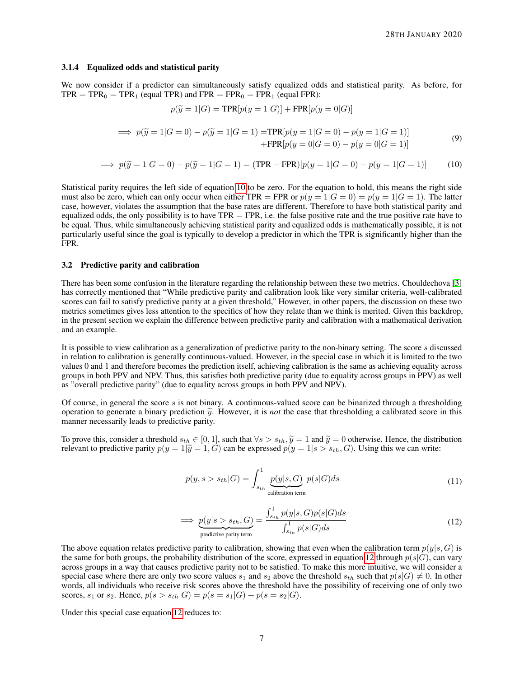#### 3.1.4 Equalized odds and statistical parity

We now consider if a predictor can simultaneously satisfy equalized odds and statistical parity. As before, for  $TPR = TPR_0 = TPR_1$  (equal TPR) and  $FPR = FPR_0 = FPR_1$  (equal FPR):

<span id="page-6-0"></span>
$$
p(\widetilde{y} = 1|G) = \text{TPR}[p(y = 1|G)] + \text{FPR}[p(y = 0|G)]
$$

$$
\implies p(\widetilde{y} = 1|G = 0) - p(\widetilde{y} = 1|G = 1) = \text{TPR}[p(y = 1|G = 0) - p(y = 1|G = 1)]
$$
  
+
$$
\text{FPR}[p(y = 0|G = 0) - p(y = 0|G = 1)]
$$
 (9)

$$
\implies p(\widetilde{y} = 1|G = 0) - p(\widetilde{y} = 1|G = 1) = (TPR - FPR)[p(y = 1|G = 0) - p(y = 1|G = 1)] \tag{10}
$$

Statistical parity requires the left side of equation [10](#page-6-0) to be zero. For the equation to hold, this means the right side must also be zero, which can only occur when either TPR = FPR or  $p(y=1|G=0) = p(y=1|G=1)$ . The latter case, however, violates the assumption that the base rates are different. Therefore to have both statistical parity and equalized odds, the only possibility is to have  $TPR = FPR$ , i.e. the false positive rate and the true positive rate have to be equal. Thus, while simultaneously achieving statistical parity and equalized odds is mathematically possible, it is not particularly useful since the goal is typically to develop a predictor in which the TPR is significantly higher than the FPR.

#### 3.2 Predictive parity and calibration

There has been some confusion in the literature regarding the relationship between these two metrics. Chouldechova [\[3\]](#page-8-2) has correctly mentioned that "While predictive parity and calibration look like very similar criteria, well-calibrated scores can fail to satisfy predictive parity at a given threshold," However, in other papers, the discussion on these two metrics sometimes gives less attention to the specifics of how they relate than we think is merited. Given this backdrop, in the present section we explain the difference between predictive parity and calibration with a mathematical derivation and an example.

It is possible to view calibration as a generalization of predictive parity to the non-binary setting. The score s discussed in relation to calibration is generally continuous-valued. However, in the special case in which it is limited to the two values 0 and 1 and therefore becomes the prediction itself, achieving calibration is the same as achieving equality across groups in both PPV and NPV. Thus, this satisfies both predictive parity (due to equality across groups in PPV) as well as "overall predictive parity" (due to equality across groups in both PPV and NPV).

Of course, in general the score  $s$  is not binary. A continuous-valued score can be binarized through a thresholding operation to generate a binary prediction  $\tilde{y}$ . However, it is *not* the case that thresholding a calibrated score in this manner necessarily leads to predictive parity.

To prove this, consider a threshold  $s_{th} \in [0, 1]$ , such that  $\forall s > s_{th}$ ,  $\tilde{y} = 1$  and  $\tilde{y} = 0$  otherwise. Hence, the distribution relevant to predictive parity  $p(y = 1|\tilde{y} = 1, \tilde{G})$  can be expressed  $p(y = 1|s > s_{th}, G)$ . Using this we can write:

$$
p(y, s > s_{th}|G) = \int_{s_{th}}^{1} \underbrace{p(y|s, G)}_{\text{calibration term}} p(s|G)ds
$$
\n(11)

<span id="page-6-1"></span>
$$
\implies \underbrace{p(y|s>s_{th},G)}_{\text{predictive parity term}} = \frac{\int_{s_{th}}^1 p(y|s,G)p(s|G)ds}{\int_{s_{th}}^1 p(s|G)ds} \tag{12}
$$

The above equation relates predictive parity to calibration, showing that even when the calibration term  $p(y|s, G)$  is the same for both groups, the probability distribution of the score, expressed in equation [12](#page-6-1) through  $p(s|G)$ , can vary across groups in a way that causes predictive parity not to be satisfied. To make this more intuitive, we will consider a special case where there are only two score values  $s_1$  and  $s_2$  above the threshold  $s_{th}$  such that  $p(s|G) \neq 0$ . In other words, all individuals who receive risk scores above the threshold have the possibility of receiving one of only two scores,  $s_1$  or  $s_2$ . Hence,  $p(s > s_{th}|G) = p(s = s_1|G) + p(s = s_2|G)$ .

Under this special case equation [12](#page-6-1) reduces to: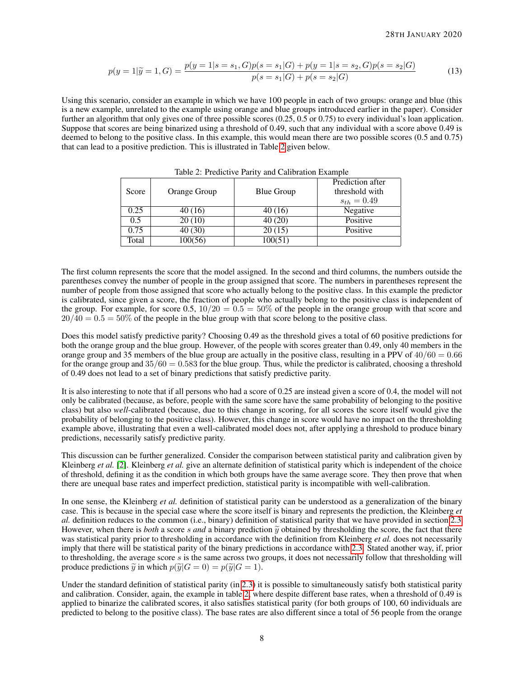$$
p(y=1|\widetilde{y}=1,G) = \frac{p(y=1|s=s_1,G)p(s=s_1|G) + p(y=1|s=s_2,G)p(s=s_2|G)}{p(s=s_1|G) + p(s=s_2|G)}
$$
(13)

Using this scenario, consider an example in which we have 100 people in each of two groups: orange and blue (this is a new example, unrelated to the example using orange and blue groups introduced earlier in the paper). Consider further an algorithm that only gives one of three possible scores (0.25, 0.5 or 0.75) to every individual's loan application. Suppose that scores are being binarized using a threshold of 0.49, such that any individual with a score above 0.49 is deemed to belong to the positive class. In this example, this would mean there are two possible scores (0.5 and 0.75) that can lead to a positive prediction. This is illustrated in Table [2](#page-7-0) given below.

<span id="page-7-0"></span>

|       |              |                   | Prediction after |
|-------|--------------|-------------------|------------------|
| Score | Orange Group | <b>Blue Group</b> | threshold with   |
|       |              |                   | $s_{th} = 0.49$  |
| 0.25  | 40 (16)      | 40 (16)           | Negative         |
| 0.5   | 20(10)       | 40(20)            | Positive         |
| 0.75  | 40 (30)      | 20(15)            | Positive         |
| Total | 100(56)      | 100(51)           |                  |

Table 2: Predictive Parity and Calibration Example

The first column represents the score that the model assigned. In the second and third columns, the numbers outside the parentheses convey the number of people in the group assigned that score. The numbers in parentheses represent the number of people from those assigned that score who actually belong to the positive class. In this example the predictor is calibrated, since given a score, the fraction of people who actually belong to the positive class is independent of the group. For example, for score 0.5,  $10/20 = 0.5 = 50\%$  of the people in the orange group with that score and  $20/40 = 0.5 = 50\%$  of the people in the blue group with that score belong to the positive class.

Does this model satisfy predictive parity? Choosing 0.49 as the threshold gives a total of 60 positive predictions for both the orange group and the blue group. However, of the people with scores greater than 0.49, only 40 members in the orange group and 35 members of the blue group are actually in the positive class, resulting in a PPV of  $40/60 = 0.66$ for the orange group and  $35/60 = 0.583$  for the blue group. Thus, while the predictor is calibrated, choosing a threshold of 0.49 does not lead to a set of binary predictions that satisfy predictive parity.

It is also interesting to note that if all persons who had a score of 0.25 are instead given a score of 0.4, the model will not only be calibrated (because, as before, people with the same score have the same probability of belonging to the positive class) but also *well*-calibrated (because, due to this change in scoring, for all scores the score itself would give the probability of belonging to the positive class). However, this change in score would have no impact on the thresholding example above, illustrating that even a well-calibrated model does not, after applying a threshold to produce binary predictions, necessarily satisfy predictive parity.

This discussion can be further generalized. Consider the comparison between statistical parity and calibration given by Kleinberg *et al.* [\[2\]](#page-8-1). Kleinberg *et al.* give an alternate definition of statistical parity which is independent of the choice of threshold, defining it as the condition in which both groups have the same average score. They then prove that when there are unequal base rates and imperfect prediction, statistical parity is incompatible with well-calibration.

In one sense, the Kleinberg *et al.* definition of statistical parity can be understood as a generalization of the binary case. This is because in the special case where the score itself is binary and represents the prediction, the Kleinberg *et al.* definition reduces to the common (i.e., binary) definition of statistical parity that we have provided in section [2.3.](#page-2-0) However, when there is *both* a score s and a binary prediction  $\tilde{y}$  obtained by thresholding the score, the fact that there was statistical parity prior to thresholding in accordance with the definition from Kleinberg *et al.* does not necessarily imply that there will be statistical parity of the binary predictions in accordance with [2.3.](#page-2-0) Stated another way, if, prior to thresholding, the average score s is the same across two groups, it does not necessarily follow that thresholding will produce predictions  $\tilde{y}$  in which  $p(\tilde{y}|G = 0) = p(\tilde{y}|G = 1)$ .

Under the standard definition of statistical parity (in [2.3\)](#page-2-0) it is possible to simultaneously satisfy both statistical parity and calibration. Consider, again, the example in table [2,](#page-7-0) where despite different base rates, when a threshold of 0.49 is applied to binarize the calibrated scores, it also satisfies statistical parity (for both groups of 100, 60 individuals are predicted to belong to the positive class). The base rates are also different since a total of 56 people from the orange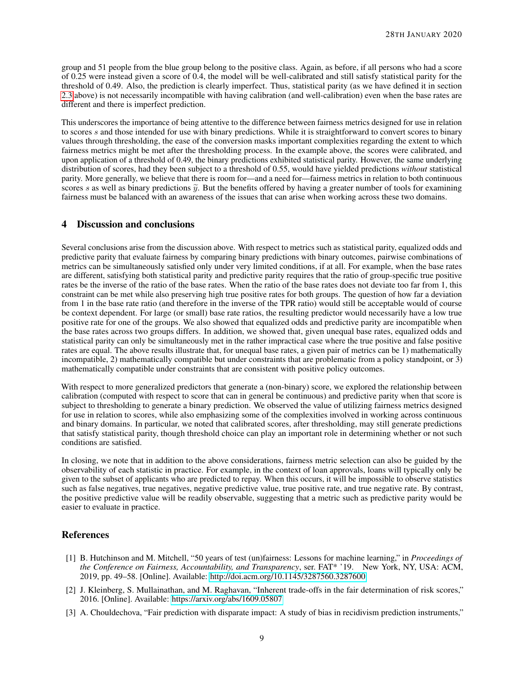group and 51 people from the blue group belong to the positive class. Again, as before, if all persons who had a score of 0.25 were instead given a score of 0.4, the model will be well-calibrated and still satisfy statistical parity for the threshold of 0.49. Also, the prediction is clearly imperfect. Thus, statistical parity (as we have defined it in section [2.3](#page-2-0) above) is not necessarily incompatible with having calibration (and well-calibration) even when the base rates are different and there is imperfect prediction.

This underscores the importance of being attentive to the difference between fairness metrics designed for use in relation to scores s and those intended for use with binary predictions. While it is straightforward to convert scores to binary values through thresholding, the ease of the conversion masks important complexities regarding the extent to which fairness metrics might be met after the thresholding process. In the example above, the scores were calibrated, and upon application of a threshold of 0.49, the binary predictions exhibited statistical parity. However, the same underlying distribution of scores, had they been subject to a threshold of 0.55, would have yielded predictions *without* statistical parity. More generally, we believe that there is room for—and a need for—fairness metrics in relation to both continuous scores s as well as binary predictions  $\tilde{y}$ . But the benefits offered by having a greater number of tools for examining fairness must be balanced with an awareness of the issues that can arise when working across these two domains.

## 4 Discussion and conclusions

Several conclusions arise from the discussion above. With respect to metrics such as statistical parity, equalized odds and predictive parity that evaluate fairness by comparing binary predictions with binary outcomes, pairwise combinations of metrics can be simultaneously satisfied only under very limited conditions, if at all. For example, when the base rates are different, satisfying both statistical parity and predictive parity requires that the ratio of group-specific true positive rates be the inverse of the ratio of the base rates. When the ratio of the base rates does not deviate too far from 1, this constraint can be met while also preserving high true positive rates for both groups. The question of how far a deviation from 1 in the base rate ratio (and therefore in the inverse of the TPR ratio) would still be acceptable would of course be context dependent. For large (or small) base rate ratios, the resulting predictor would necessarily have a low true positive rate for one of the groups. We also showed that equalized odds and predictive parity are incompatible when the base rates across two groups differs. In addition, we showed that, given unequal base rates, equalized odds and statistical parity can only be simultaneously met in the rather impractical case where the true positive and false positive rates are equal. The above results illustrate that, for unequal base rates, a given pair of metrics can be 1) mathematically incompatible, 2) mathematically compatible but under constraints that are problematic from a policy standpoint, or 3) mathematically compatible under constraints that are consistent with positive policy outcomes.

With respect to more generalized predictors that generate a (non-binary) score, we explored the relationship between calibration (computed with respect to score that can in general be continuous) and predictive parity when that score is subject to thresholding to generate a binary prediction. We observed the value of utilizing fairness metrics designed for use in relation to scores, while also emphasizing some of the complexities involved in working across continuous and binary domains. In particular, we noted that calibrated scores, after thresholding, may still generate predictions that satisfy statistical parity, though threshold choice can play an important role in determining whether or not such conditions are satisfied.

In closing, we note that in addition to the above considerations, fairness metric selection can also be guided by the observability of each statistic in practice. For example, in the context of loan approvals, loans will typically only be given to the subset of applicants who are predicted to repay. When this occurs, it will be impossible to observe statistics such as false negatives, true negatives, negative predictive value, true positive rate, and true negative rate. By contrast, the positive predictive value will be readily observable, suggesting that a metric such as predictive parity would be easier to evaluate in practice.

## References

- <span id="page-8-0"></span>[1] B. Hutchinson and M. Mitchell, "50 years of test (un)fairness: Lessons for machine learning," in *Proceedings of the Conference on Fairness, Accountability, and Transparency*, ser. FAT\* '19. New York, NY, USA: ACM, 2019, pp. 49–58. [Online]. Available:<http://doi.acm.org/10.1145/3287560.3287600>
- <span id="page-8-1"></span>[2] J. Kleinberg, S. Mullainathan, and M. Raghavan, "Inherent trade-offs in the fair determination of risk scores," 2016. [Online]. Available:<https://arxiv.org/abs/1609.05807>
- <span id="page-8-2"></span>[3] A. Chouldechova, "Fair prediction with disparate impact: A study of bias in recidivism prediction instruments,"